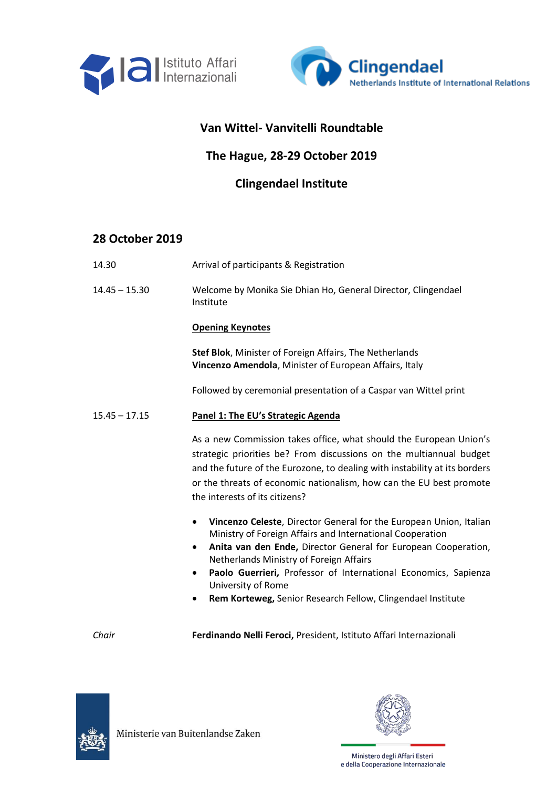



## **Van Wittel- Vanvitelli Roundtable**

# **The Hague, 28-29 October 2019**

# **Clingendael Institute**

## **28 October 2019**

- 14.30 Arrival of participants & Registration
- 14.45 15.30 Welcome by Monika Sie Dhian Ho, General Director, Clingendael Institute

### **Opening Keynotes**

**Stef Blok**, Minister of Foreign Affairs, The Netherlands **Vincenzo Amendola**, Minister of European Affairs, Italy

Followed by ceremonial presentation of a Caspar van Wittel print

### 15.45 – 17.15 **Panel 1: The EU's Strategic Agenda**

As a new Commission takes office, what should the European Union's strategic priorities be? From discussions on the multiannual budget and the future of the Eurozone, to dealing with instability at its borders or the threats of economic nationalism, how can the EU best promote the interests of its citizens?

- **Vincenzo Celeste**, Director General for the European Union, Italian Ministry of Foreign Affairs and International Cooperation
- **Anita van den Ende,** Director General for European Cooperation, Netherlands Ministry of Foreign Affairs
- **Paolo Guerrieri***,* Professor of International Economics, Sapienza University of Rome
- **Rem Korteweg,** Senior Research Fellow, Clingendael Institute

*Chair* **Ferdinando Nelli Feroci,** President, Istituto Affari Internazionali



Ministerie van Buitenlandse Zaken

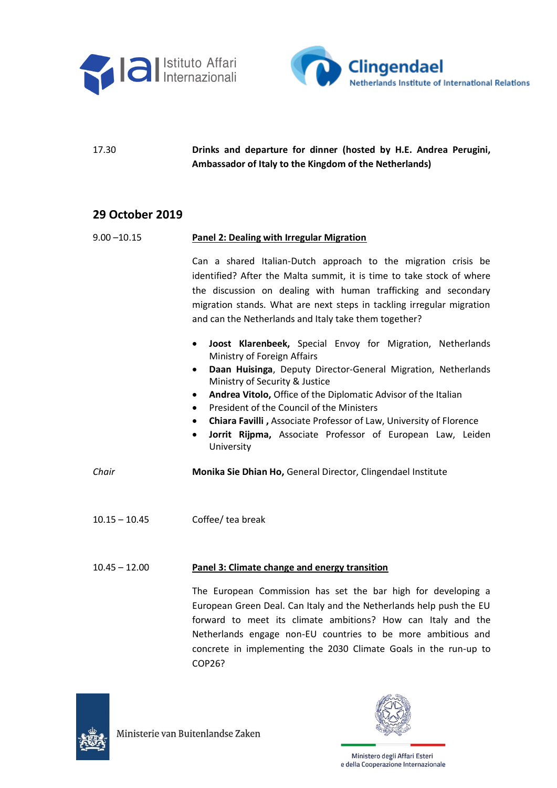



17.30 **Drinks and departure for dinner (hosted by H.E. Andrea Perugini, Ambassador of Italy to the Kingdom of the Netherlands)**

### **29 October 2019**

#### 9.00 –10.15 **Panel 2: Dealing with Irregular Migration**

Can a shared Italian-Dutch approach to the migration crisis be identified? After the Malta summit, it is time to take stock of where the discussion on dealing with human trafficking and secondary migration stands. What are next steps in tackling irregular migration and can the Netherlands and Italy take them together?

- **Joost Klarenbeek,** Special Envoy for Migration, Netherlands Ministry of Foreign Affairs
- **Daan Huisinga**, Deputy Director-General Migration, Netherlands Ministry of Security & Justice
- **Andrea Vitolo,** Office of the Diplomatic Advisor of the Italian
- President of the Council of the Ministers
- **Chiara Favilli ,** Associate Professor of Law, University of Florence
- **Jorrit Rijpma,** Associate Professor of European Law, Leiden University

*Chair* **Monika Sie Dhian Ho,** General Director, Clingendael Institute

10.15 – 10.45 Coffee/ tea break

#### 10.45 – 12.00 **Panel 3: Climate change and energy transition**

The European Commission has set the bar high for developing a European Green Deal. Can Italy and the Netherlands help push the EU forward to meet its climate ambitions? How can Italy and the Netherlands engage non-EU countries to be more ambitious and concrete in implementing the 2030 Climate Goals in the run-up to COP26?